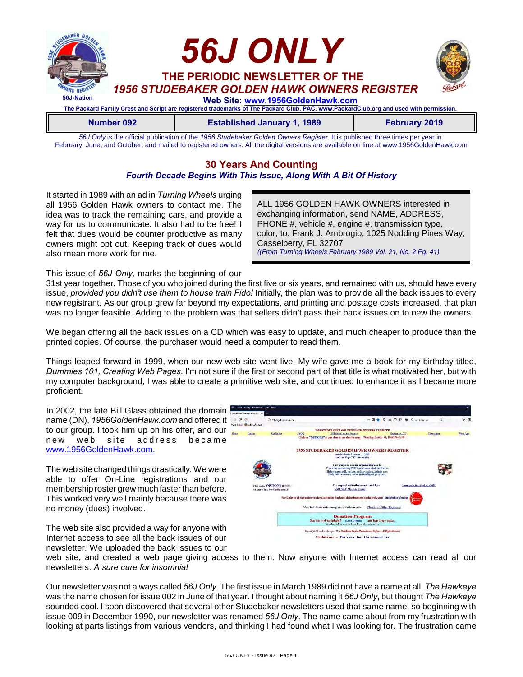

**Number 092 Established January 1, 1989 February 2019**

*56J Only* is the official publication of the *1956 Studebaker Golden Owners Register*. It is published three times per year in February, June, and October, and mailed to registered owners. All the digital versions are available on line at www.1956GoldenHawk.com

# **30 Years And Counting**

## *Fourth Decade Begins With This Issue, Along With A Bit Of History*

It started in 1989 with an ad in *Turning Wheels* urging all 1956 Golden Hawk owners to contact me. The idea was to track the remaining cars, and provide a way for us to communicate. It also had to be free! I felt that dues would be counter productive as many owners might opt out. Keeping track of dues would also mean more work for me.

ALL 1956 GOLDEN HAWK OWNERS interested in exchanging information, send NAME, ADDRESS, PHONE #, vehicle #, engine #, transmission type, color, to: Frank J. Ambrogio, 1025 Nodding Pines Way, Casselberry, FL 32707 *((From Turning Wheels February 1989 Vol. 21, No. 2 Pg. 41)* 

This issue of *56J Only,* marks the beginning of our

31st year together. Those of you who joined during the first five or six years, and remained with us, should have every issue, *provided you didn't use them to house train Fido!* Initially, the plan was to provide all the back issues to every new registrant. As our group grew far beyond my expectations, and printing and postage costs increased, that plan was no longer feasible. Adding to the problem was that sellers didn't pass their back issues on to new the owners.

We began offering all the back issues on a CD which was easy to update, and much cheaper to produce than the printed copies. Of course, the purchaser would need a computer to read them.

Things leaped forward in 1999, when our new web site went live. My wife gave me a book for my birthday titled, *Dummies 101, Creating Web Pages*. I'm not sure if the first or second part of that title is what motivated her, but with my computer background, I was able to create a primitive web site, and continued to enhance it as I became more proficient.

In 2002, the late Bill Glass obtained the domain name (DN), *1956GoldenHawk.com* and offered it to our group. I took him up on his offer, and our new web site address became [www.1956GoldenHawk.com.](http://www.1956GoldenHawk.com.)

The web site changed things drastically. We were able to offer On-Line registrations and our membership roster grew much faster than before. This worked very well mainly because there was no money (dues) involved.

The web site also provided a way for anyone with Internet access to see all the back issues of our newsletter. We uploaded the back issues to our



web site, and created a web page giving access to them. Now anyone with Internet access can read all our newsletters. *A sure cure for insomnia!*

Our newsletter was not always called *56J Only.* The first issue in March 1989 did not have a name at all. *The Hawkeye* was the name chosen for issue 002 in June of that year. I thought about naming it *56J Only*, but thought *The Hawkeye* sounded cool. I soon discovered that several other Studebaker newsletters used that same name, so beginning with issue 009 in December 1990, our newsletter was renamed *56J Only*. The name came about from my frustration with looking at parts listings from various vendors, and thinking I had found what I was looking for. The frustration came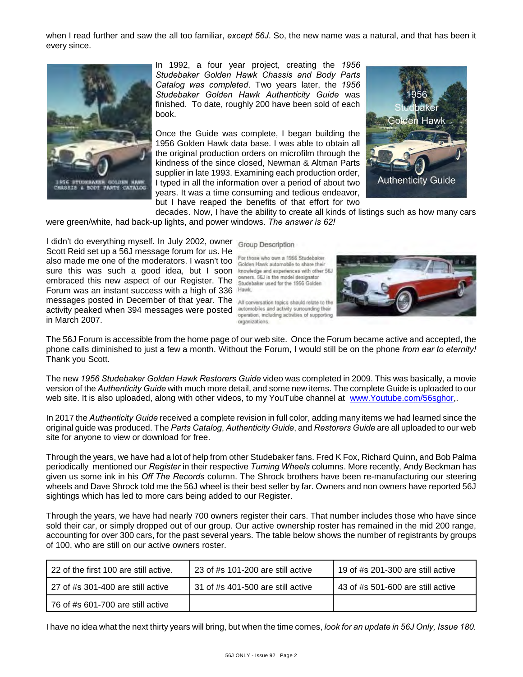when I read further and saw the all too familiar, *except 56J*. So, the new name was a natural, and that has been it every since.



In 1992, a four year project, creating the *1956 Studebaker Golden Hawk Chassis and Body Parts Catalog was completed*. Two years later, the *1956 Studebaker Golden Hawk Authenticity Guide* was finished. To date, roughly 200 have been sold of each book.

Once the Guide was complete, I began building the 1956 Golden Hawk data base. I was able to obtain all the original production orders on microfilm through the kindness of the since closed, Newman & Altman Parts supplier in late 1993. Examining each production order, I typed in all the information over a period of about two years. It was a time consuming and tedious endeavor, but I have reaped the benefits of that effort for two



decades. Now, I have the ability to create all kinds of listings such as how many cars were green/white, had back-up lights, and power windows. *The answer is 62!*

I didn't do everything myself. In July 2002, owner Group Description Scott Reid set up a 56J message forum for us. He also made me one of the moderators. I wasn't too For those who own a 1956 Studebaker Sure this was such a good idea, but I soon knowledge and experiences with other 56J embraced this new aspect of our Register. The Studebaker used for the 1956 Golden Forum was an instant success with a high of 336 Hawk. messages posted in December of that year. The All conversation topics should relate to the activity peaked when 394 messages were posted in March 2007.

For those who own a 1956 Studebaker owners. 56J is the model designator

automobiles and activity surrounding their operation, including activities of supporting organizations.



The 56J Forum is accessible from the home page of our web site. Once the Forum became active and accepted, the phone calls diminished to just a few a month. Without the Forum, I would still be on the phone *from ear to eternity!* Thank you Scott.

The new *1956 Studebaker Golden Hawk Restorers Guide* video was completed in 2009. This was basically, a movie version of the *Authenticity Guide* with much more detail, and some new items. The complete Guide is uploaded to our web site. It is also uploaded, along with other videos, to my YouTube channel at [www.Youtube.com/56sghor](http://www.Youtube.com/56sghor,),.

In 2017 the *Authenticity Guide* received a complete revision in full color, adding many items we had learned since the original guide was produced. The *Parts Catalog*, *Authenticity Guide*, and *Restorers Guide* are all uploaded to our web site for anyone to view or download for free.

Through the years, we have had a lot of help from other Studebaker fans. Fred K Fox, Richard Quinn, and Bob Palma periodically mentioned our *Register* in their respective *Turning Wheels* columns. More recently, Andy Beckman has given us some ink in his *Off The Records* column. The Shrock brothers have been re-manufacturing our steering wheels and Dave Shrock told me the 56J wheel is their best seller by far. Owners and non owners have reported 56J sightings which has led to more cars being added to our Register.

Through the years, we have had nearly 700 owners register their cars. That number includes those who have since sold their car, or simply dropped out of our group. Our active ownership roster has remained in the mid 200 range, accounting for over 300 cars, for the past several years. The table below shows the number of registrants by groups of 100, who are still on our active owners roster.

| 22 of the first 100 are still active.    | 23 of $#s$ 101-200 are still active | 19 of #s 201-300 are still active    |
|------------------------------------------|-------------------------------------|--------------------------------------|
| $\,$ 27 of #s 301-400 are still active   | 31 of #s 401-500 are still active   | 43 of $\#s$ 501-600 are still active |
| $\mid$ 76 of #s 601-700 are still active |                                     |                                      |

I have no idea what the next thirty years will bring, but when the time comes, *look for an update in 56J Only, Issue 180.*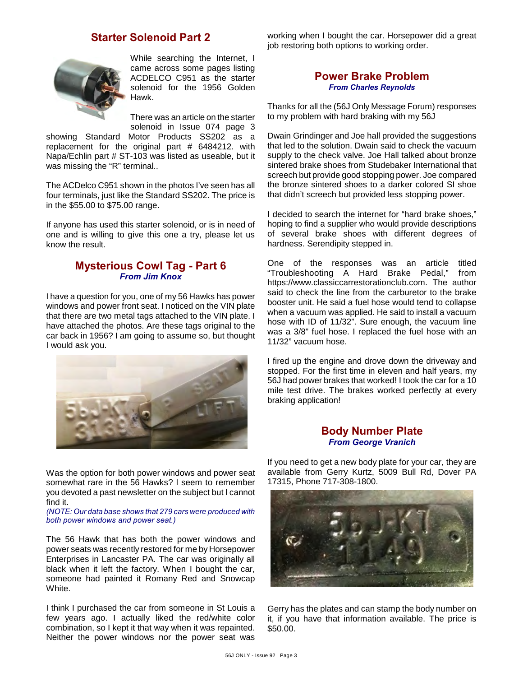# **Starter Solenoid Part 2**



While searching the Internet, I came across some pages listing ACDELCO C951 as the starter solenoid for the 1956 Golden Hawk.

There was an article on the starter solenoid in Issue 074 page 3

showing Standard Motor Products SS202 as a replacement for the original part # 6484212. with Napa/Echlin part # ST-103 was listed as useable, but it was missing the "R" terminal..

The ACDelco C951 shown in the photos I've seen has all four terminals, just like the Standard SS202. The price is in the \$55.00 to \$75.00 range.

If anyone has used this starter solenoid, or is in need of one and is willing to give this one a try, please let us know the result.

### **Mysterious Cowl Tag - Part 6** *From Jim Knox*

I have a question for you, one of my 56 Hawks has power windows and power front seat. I noticed on the VIN plate that there are two metal tags attached to the VIN plate. I have attached the photos. Are these tags original to the car back in 1956? I am going to assume so, but thought I would ask you.



Was the option for both power windows and power seat somewhat rare in the 56 Hawks? I seem to remember you devoted a past newsletter on the subject but I cannot find it.

*(NOTE: Our data base shows that 279 cars were produced with both power windows and power seat.)*

The 56 Hawk that has both the power windows and power seats was recently restored for me by Horsepower Enterprises in Lancaster PA. The car was originally all black when it left the factory. When I bought the car, someone had painted it Romany Red and Snowcap White.

I think I purchased the car from someone in St Louis a few years ago. I actually liked the red/white color combination, so I kept it that way when it was repainted. Neither the power windows nor the power seat was working when I bought the car. Horsepower did a great job restoring both options to working order.

### **Power Brake Problem** *From Charles Reynolds*

Thanks for all the (56J Only Message Forum) responses to my problem with hard braking with my 56J

Dwain Grindinger and Joe hall provided the suggestions that led to the solution. Dwain said to check the vacuum supply to the check valve. Joe Hall talked about bronze sintered brake shoes from Studebaker International that screech but provide good stopping power. Joe compared the bronze sintered shoes to a darker colored SI shoe that didn't screech but provided less stopping power.

I decided to search the internet for "hard brake shoes," hoping to find a supplier who would provide descriptions of several brake shoes with different degrees of hardness. Serendipity stepped in.

One of the responses was an article titled "Troubleshooting A Hard Brake Pedal," from https://www.classiccarrestorationclub.com. The author said to check the line from the carburetor to the brake booster unit. He said a fuel hose would tend to collapse when a vacuum was applied. He said to install a vacuum hose with ID of 11/32". Sure enough, the vacuum line was a 3/8" fuel hose. I replaced the fuel hose with an 11/32" vacuum hose.

I fired up the engine and drove down the driveway and stopped. For the first time in eleven and half years, my 56J had power brakes that worked! I took the car for a 10 mile test drive. The brakes worked perfectly at every braking application!

#### **Body Number Plate** *From George Vranich*

If you need to get a new body plate for your car, they are available from Gerry Kurtz, 5009 Bull Rd, Dover PA 17315, Phone 717-308-1800.



Gerry has the plates and can stamp the body number on it, if you have that information available. The price is \$50.00.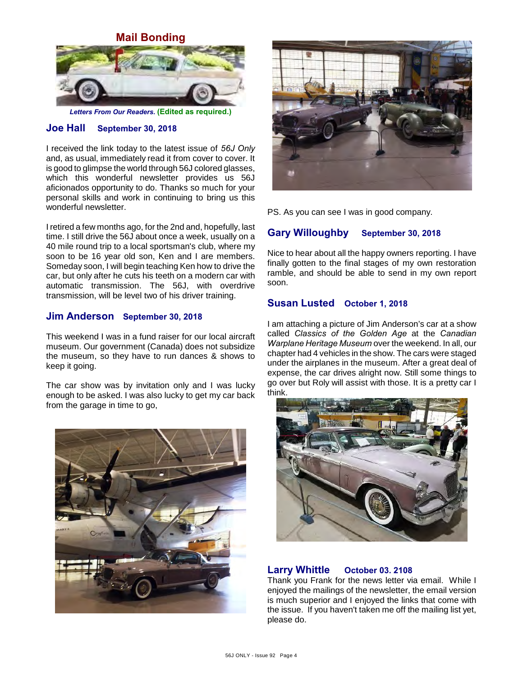**Mail Bonding**



*Letters From Our Readers.* **(Edited as required.)**

# **Joe Hall September 30, 2018**

I received the link today to the latest issue of *56J Only* and, as usual, immediately read it from cover to cover. It is good to glimpse the world through 56J colored glasses, which this wonderful newsletter provides us 56J aficionados opportunity to do. Thanks so much for your personal skills and work in continuing to bring us this wonderful newsletter.

I retired a few months ago, for the 2nd and, hopefully, last time. I still drive the 56J about once a week, usually on a 40 mile round trip to a local sportsman's club, where my soon to be 16 year old son, Ken and I are members. Someday soon, I will begin teaching Ken how to drive the car, but only after he cuts his teeth on a modern car with automatic transmission. The 56J, with overdrive transmission, will be level two of his driver training.

#### **Jim Anderson September 30, 2018**

This weekend I was in a fund raiser for our local aircraft museum. Our government (Canada) does not subsidize the museum, so they have to run dances & shows to keep it going.

The car show was by invitation only and I was lucky enough to be asked. I was also lucky to get my car back from the garage in time to go,





PS. As you can see I was in good company.

### **Gary Willoughby September 30, 2018**

Nice to hear about all the happy owners reporting. I have finally gotten to the final stages of my own restoration ramble, and should be able to send in my own report soon.

#### **Susan Lusted October 1, 2018**

I am attaching a picture of Jim Anderson's car at a show called *Classics of the Golden Age* at the *Canadian Warplane Heritage Museum* over the weekend. In all, our chapter had 4 vehicles in the show. The cars were staged under the airplanes in the museum. After a great deal of expense, the car drives alright now. Still some things to go over but Roly will assist with those. It is a pretty car I think.



#### **Larry Whittle October 03. 2108**

Thank you Frank for the news letter via email. While I enjoyed the mailings of the newsletter, the email version is much superior and I enjoyed the links that come with the issue. If you haven't taken me off the mailing list yet, please do.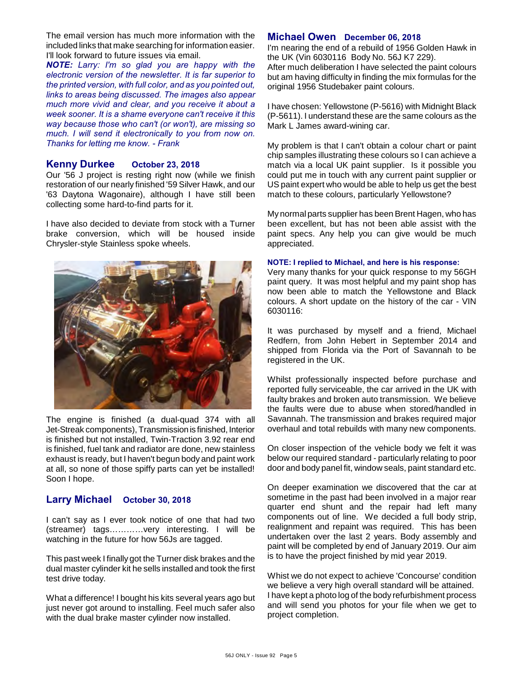The email version has much more information with the included links that make searching for information easier. I'll look forward to future issues via email.

*NOTE: Larry: I'm so glad you are happy with the electronic version of the newsletter. It is far superior to the printed version, with full color, and as you pointed out, links to areas being discussed. The images also appear much more vivid and clear, and you receive it about a week sooner. It is a shame everyone can't receive it this way because those who can't (or won't), are missing so much. I will send it electronically to you from now on. Thanks for letting me know. - Frank*

#### **Kenny Durkee October 23, 2018**

Our '56 J project is resting right now (while we finish restoration of our nearly finished '59 Silver Hawk, and our '63 Daytona Wagonaire), although I have still been collecting some hard-to-find parts for it.

I have also decided to deviate from stock with a Turner brake conversion, which will be housed inside Chrysler-style Stainless spoke wheels.



The engine is finished (a dual-quad 374 with all Jet-Streak components), Transmission is finished, Interior is finished but not installed, Twin-Traction 3.92 rear end is finished, fuel tank and radiator are done, new stainless exhaust is ready, but I haven't begun body and paint work at all, so none of those spiffy parts can yet be installed! Soon I hope.

#### **Larry Michael October 30, 2018**

I can't say as I ever took notice of one that had two (streamer) tags…………very interesting. I will be watching in the future for how 56Js are tagged.

This past week I finally got the Turner disk brakes and the dual master cylinder kit he sells installed and took the first test drive today.

What a difference! I bought his kits several years ago but just never got around to installing. Feel much safer also with the dual brake master cylinder now installed.

#### **Michael Owen December 06, 2018**

I'm nearing the end of a rebuild of 1956 Golden Hawk in the UK (Vin 6030116 Body No. 56J K7 229). After much deliberation I have selected the paint colours but am having difficulty in finding the mix formulas for the original 1956 Studebaker paint colours.

I have chosen: Yellowstone (P-5616) with Midnight Black (P-5611). I understand these are the same colours as the Mark L James award-wining car.

My problem is that I can't obtain a colour chart or paint chip samples illustrating these colours so I can achieve a match via a local UK paint supplier. Is it possible you could put me in touch with any current paint supplier or US paint expert who would be able to help us get the best match to these colours, particularly Yellowstone?

My normal parts supplier has been Brent Hagen, who has been excellent, but has not been able assist with the paint specs. Any help you can give would be much appreciated.

#### **NOTE: I replied to Michael, and here is his response:**

Very many thanks for your quick response to my 56GH paint query. It was most helpful and my paint shop has now been able to match the Yellowstone and Black colours. A short update on the history of the car - VIN 6030116:

It was purchased by myself and a friend, Michael Redfern, from John Hebert in September 2014 and shipped from Florida via the Port of Savannah to be registered in the UK.

Whilst professionally inspected before purchase and reported fully serviceable, the car arrived in the UK with faulty brakes and broken auto transmission. We believe the faults were due to abuse when stored/handled in Savannah. The transmission and brakes required major overhaul and total rebuilds with many new components.

On closer inspection of the vehicle body we felt it was below our required standard - particularly relating to poor door and body panel fit, window seals, paint standard etc.

On deeper examination we discovered that the car at sometime in the past had been involved in a major rear quarter end shunt and the repair had left many components out of line. We decided a full body strip, realignment and repaint was required. This has been undertaken over the last 2 years. Body assembly and paint will be completed by end of January 2019. Our aim is to have the project finished by mid year 2019.

Whist we do not expect to achieve 'Concourse' condition we believe a very high overall standard will be attained. I have kept a photo log of the body refurbishment process and will send you photos for your file when we get to project completion.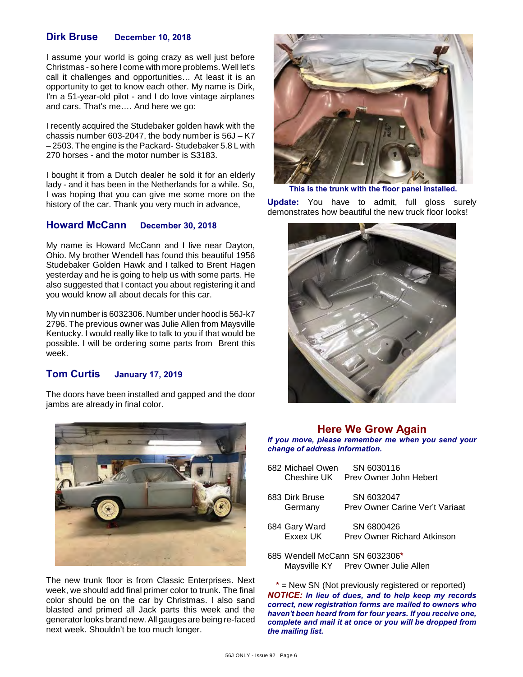#### **Dirk Bruse December 10, 2018**

I assume your world is going crazy as well just before Christmas - so here I come with more problems. Well let's call it challenges and opportunities… At least it is an opportunity to get to know each other. My name is Dirk, I'm a 51-year-old pilot - and I do love vintage airplanes and cars. That's me…. And here we go:

I recently acquired the Studebaker golden hawk with the chassis number 603-2047, the body number is 56J – K7 – 2503. The engine is the Packard- Studebaker 5.8 L with 270 horses - and the motor number is S3183.

I bought it from a Dutch dealer he sold it for an elderly lady - and it has been in the Netherlands for a while. So, I was hoping that you can give me some more on the history of the car. Thank you very much in advance,

#### **Howard McCann December 30, 2018**

My name is Howard McCann and I live near Dayton, Ohio. My brother Wendell has found this beautiful 1956 Studebaker Golden Hawk and I talked to Brent Hagen yesterday and he is going to help us with some parts. He also suggested that I contact you about registering it and you would know all about decals for this car.

My vin number is 6032306. Number under hood is 56J-k7 2796. The previous owner was Julie Allen from Maysville Kentucky. I would really like to talk to you if that would be possible. I will be ordering some parts from Brent this week.

# **Tom Curtis January 17, 2019**

The doors have been installed and gapped and the door jambs are already in final color.



The new trunk floor is from Classic Enterprises. Next week, we should add final primer color to trunk. The final color should be on the car by Christmas. I also sand blasted and primed all Jack parts this week and the generator looks brand new. All gauges are being re-faced next week. Shouldn't be too much longer.



**This is the trunk with the floor panel installed.**

**Update:** You have to admit, full gloss surely demonstrates how beautiful the new truck floor looks!



## **Here We Grow Again**

*If you move, please remember me when you send your change of address information.*

| 682 Michael Owen<br>Cheshire UK | SN 6030116<br>Prev Owner John Hebert             |
|---------------------------------|--------------------------------------------------|
| 683 Dirk Bruse<br>Germany       | SN 6032047<br>Prev Owner Carine Ver't Variaat    |
| 684 Gary Ward<br>Exxex UK       | SN 6800426<br><b>Prev Owner Richard Atkinson</b> |

685 Wendell McCann SN 6032306**\*** Maysville KY Prev Owner Julie Allen

**\*** = New SN (Not previously registered or reported) *NOTICE: In lieu of dues, and to help keep my records correct, new registration forms are mailed to owners who haven't been heard from for four years. If you receive one, complete and mail it at once or you will be dropped from the mailing list.*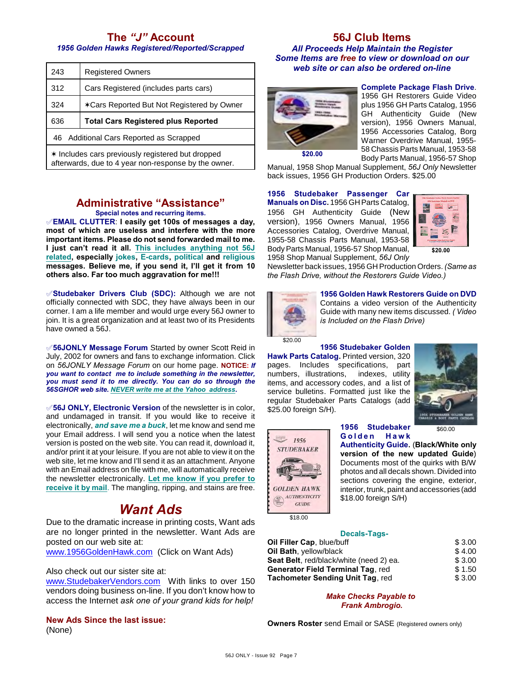# **The** *"J"* **Account**

*1956 Golden Hawks Registered/Reported/Scrapped*

| 243 | <b>Registered Owners</b>                   |
|-----|--------------------------------------------|
| 312 | Cars Registered (includes parts cars)      |
| 324 | *Cars Reported But Not Registered by Owner |
| 636 | <b>Total Cars Registered plus Reported</b> |
|     |                                            |
|     | 46 Additional Cars Reported as Scrapped    |

#### **Administrative "Assistance" Special notes and recurring items.**

°**EMAIL CLUTTER**: **I easily get 100s of messages a day, most of which are useless and interfere with the more important items. Please do not send forwarded mail to me. I just can't read it all. This includes anything not 56J related, especially jokes, E-cards, political and religious messages. Believe me, if you send it, I'll get it from 10 others also. Far too much aggravation for me!!!**

°**Studebaker Drivers Club (SDC):** Although we are not officially connected with SDC, they have always been in our corner. I am a life member and would urge every 56J owner to join. It is a great organization and at least two of its Presidents have owned a 56J.

°**56JONLY Message Forum** Started by owner Scott Reid in July, 2002 for owners and fans to exchange information. Click on *56JONLY Message Forum* on our home page. **NOTICE:** *If you want to contact me to include something in the newsletter, you must send it to me directly. You can do so through the 56SGHOR web site. NEVER write me at the Yahoo address.*

°**56J ONLY, Electronic Version** of the newsletter is in color, and undamaged in transit. If you would like to receive it electronically, *and save me a buck*, let me know and send me your Email address. I will send you a notice when the latest version is posted on the web site. You can read it, download it, and/or print it at your leisure. If you are not able to view it on the web site, let me know and I'll send it as an attachment. Anyone with an Email address on file with me, will automatically receive the newsletter electronically. **Let me know if you prefer to receive it by mail**. The mangling, ripping, and stains are free.

# *Want Ads*

Due to the dramatic increase in printing costs, Want ads are no longer printed in the newsletter. Want Ads are posted on our web site at:

[www.1956GoldenHawk.com](http://www.1956GoldenHawk.com) (Click on Want Ads)

#### Also check out our sister site at:

[www.StudebakerVendors.com](http://www.StudebakerVendors.com) With links to over 150 vendors doing business on-line. If you don't know how to access the Internet *ask one of your grand kids for help!*

**New Ads Since the last issue:** (None)

### **56J Club Items** *All Proceeds Help Maintain the Register Some Items are free to view or download on our web site or can also be ordered on-line*



**Complete Package Flash Drive**. 1956 GH Restorers Guide Video plus 1956 GH Parts Catalog, 1956 GH Authenticity Guide (New version), 1956 Owners Manual, 1956 Accessories Catalog, Borg Warner Overdrive Manual, 1955- 58 Chassis Parts Manual, 1953-58 Body Parts Manual, 1956-57 Shop

Manual, 1958 Shop Manual Supplement, *56J Only* Newsletter back issues, 1956 GH Production Orders. \$25.00

#### **1956 Studebaker Passenger Car**

**Manuals on Disc.** 1956 GH Parts Catalog, 1956 GH Authenticity Guide (New version), 1956 Owners Manual, 1956 Accessories Catalog, Overdrive Manual, 1955-58 Chassis Parts Manual, 1953-58 Body Parts Manual, 1956-57 Shop Manual, 1958 Shop Manual Supplement, *56J Only*



**\$20.00**

Newsletter back issues, 1956 GH Production Orders. *(Same as the Flash Drive, without the Restorers Guide Video.)*



**1956 Golden Hawk Restorers Guide on DVD** Contains a video version of the Authenticity Guide with many new items discussed. *( Video is Included on the Flash Drive)*

# **1956 Studebaker Golden**

**Hawk Parts Catalog.** Printed version, 320 pages. Includes specifications, part numbers, illustrations, indexes, utility items, and accessory codes, and a list of service bulletins. Formatted just like the regular Studebaker Parts Catalogs (add \$25.00 foreign S/H).



\$60.00

**1956 Studebaker G o l d e n H a w k**

**Authenticity Guide.** (**Black/White only version of the new updated Guide**) Documents most of the quirks with B/W photos and all decals shown. Divided into sections covering the engine, exterior, interior, trunk, paint and accessories (add

 $GUIDE$ \$18.00

1956 **STUDEBAKER** 

**GOLDEN HAWK AUTHENTICITY** 

#### **Decals-Tags-**

| Oil Filler Cap, blue/buff                       | \$3.00 |
|-------------------------------------------------|--------|
| Oil Bath, yellow/black                          | \$4.00 |
| <b>Seat Belt</b> , red/black/white (need 2) ea. | \$3.00 |
| <b>Generator Field Terminal Tag. red</b>        | \$1.50 |
| <b>Tachometer Sending Unit Tag, red</b>         | \$3.00 |

\$18.00 foreign S/H)

*Make Checks Payable to Frank Ambrogio.*

**Owners Roster** send Email or SASE (Registered owners only)